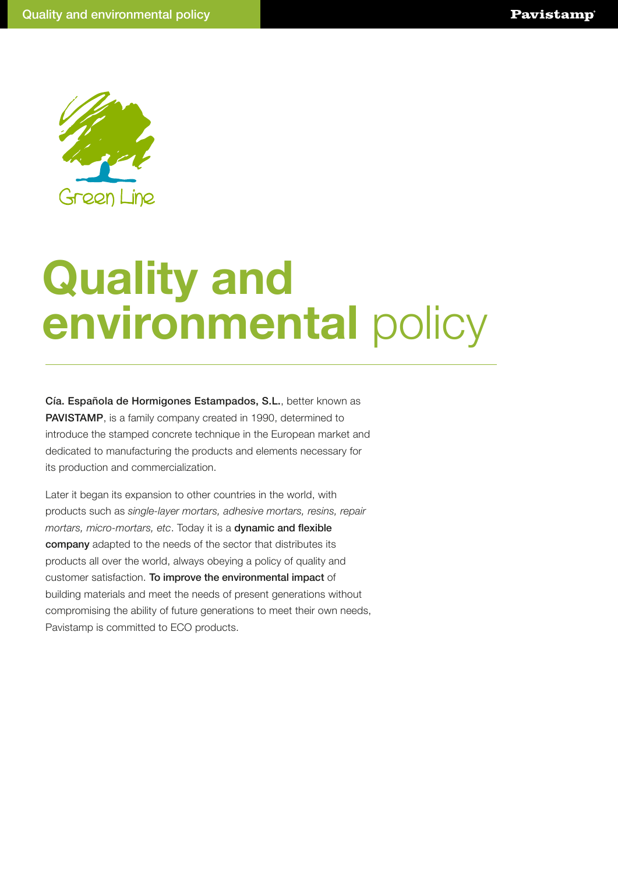

## **Quality and environmental** policy

Cía. Española de Hormigones Estampados, S.L., better known as PAVISTAMP, is a family company created in 1990, determined to introduce the stamped concrete technique in the European market and dedicated to manufacturing the products and elements necessary for its production and commercialization.

Later it began its expansion to other countries in the world, with products such as *single-layer mortars, adhesive mortars, resins, repair mortars, micro-mortars, etc*. Today it is a dynamic and flexible company adapted to the needs of the sector that distributes its products all over the world, always obeying a policy of quality and customer satisfaction. To improve the environmental impact of building materials and meet the needs of present generations without compromising the ability of future generations to meet their own needs, Pavistamp is committed to ECO products.